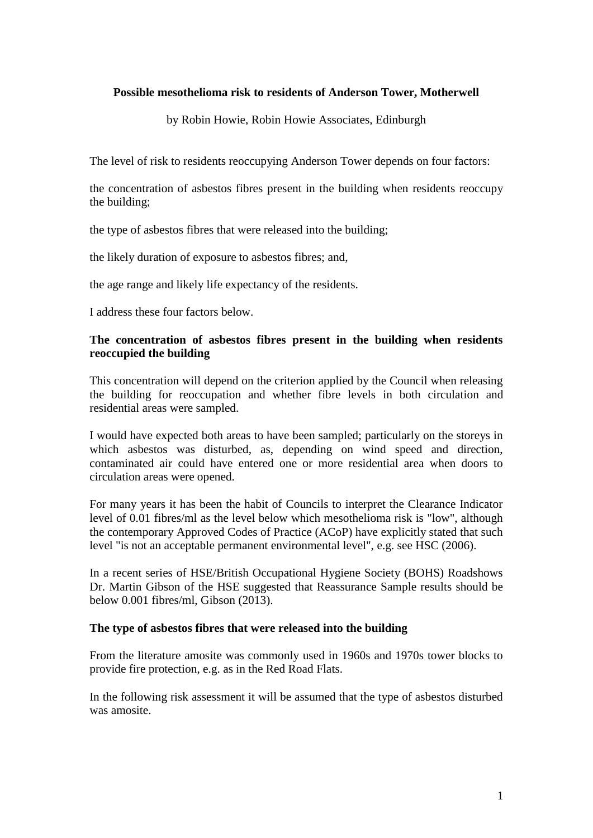## **Possible mesothelioma risk to residents of Anderson Tower, Motherwell**

by Robin Howie, Robin Howie Associates, Edinburgh

The level of risk to residents reoccupying Anderson Tower depends on four factors:

the concentration of asbestos fibres present in the building when residents reoccupy the building;

the type of asbestos fibres that were released into the building;

the likely duration of exposure to asbestos fibres; and,

the age range and likely life expectancy of the residents.

I address these four factors below.

## **The concentration of asbestos fibres present in the building when residents reoccupied the building**

This concentration will depend on the criterion applied by the Council when releasing the building for reoccupation and whether fibre levels in both circulation and residential areas were sampled.

I would have expected both areas to have been sampled; particularly on the storeys in which asbestos was disturbed, as, depending on wind speed and direction, contaminated air could have entered one or more residential area when doors to circulation areas were opened.

For many years it has been the habit of Councils to interpret the Clearance Indicator level of 0.01 fibres/ml as the level below which mesothelioma risk is "low", although the contemporary Approved Codes of Practice (ACoP) have explicitly stated that such level "is not an acceptable permanent environmental level", e.g. see HSC (2006).

In a recent series of HSE/British Occupational Hygiene Society (BOHS) Roadshows Dr. Martin Gibson of the HSE suggested that Reassurance Sample results should be below 0.001 fibres/ml, Gibson (2013).

#### **The type of asbestos fibres that were released into the building**

From the literature amosite was commonly used in 1960s and 1970s tower blocks to provide fire protection, e.g. as in the Red Road Flats.

In the following risk assessment it will be assumed that the type of asbestos disturbed was amosite.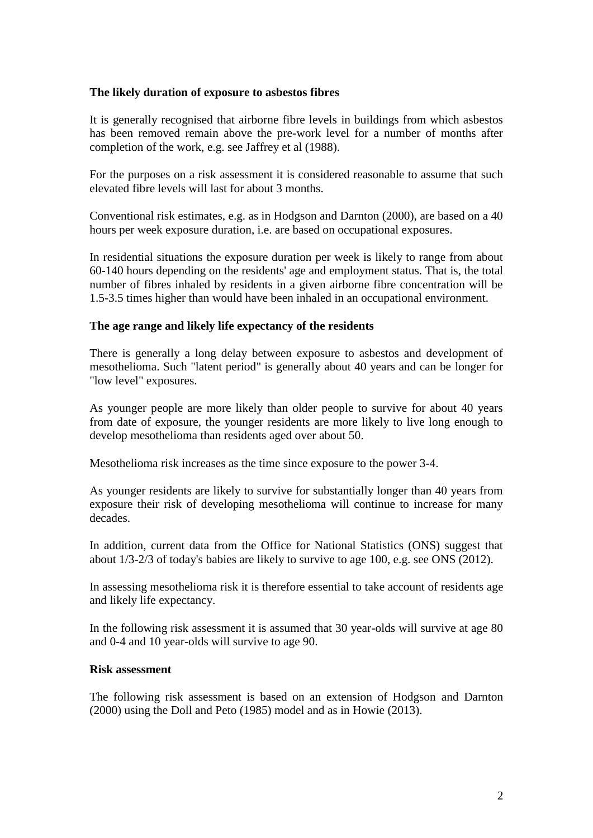## **The likely duration of exposure to asbestos fibres**

It is generally recognised that airborne fibre levels in buildings from which asbestos has been removed remain above the pre-work level for a number of months after completion of the work, e.g. see Jaffrey et al (1988).

For the purposes on a risk assessment it is considered reasonable to assume that such elevated fibre levels will last for about 3 months.

Conventional risk estimates, e.g. as in Hodgson and Darnton (2000), are based on a 40 hours per week exposure duration, i.e. are based on occupational exposures.

In residential situations the exposure duration per week is likely to range from about 60-140 hours depending on the residents' age and employment status. That is, the total number of fibres inhaled by residents in a given airborne fibre concentration will be 1.5-3.5 times higher than would have been inhaled in an occupational environment.

#### **The age range and likely life expectancy of the residents**

There is generally a long delay between exposure to asbestos and development of mesothelioma. Such "latent period" is generally about 40 years and can be longer for "low level" exposures.

As younger people are more likely than older people to survive for about 40 years from date of exposure, the younger residents are more likely to live long enough to develop mesothelioma than residents aged over about 50.

Mesothelioma risk increases as the time since exposure to the power 3-4.

As younger residents are likely to survive for substantially longer than 40 years from exposure their risk of developing mesothelioma will continue to increase for many decades.

In addition, current data from the Office for National Statistics (ONS) suggest that about 1/3-2/3 of today's babies are likely to survive to age 100, e.g. see ONS (2012).

In assessing mesothelioma risk it is therefore essential to take account of residents age and likely life expectancy.

In the following risk assessment it is assumed that 30 year-olds will survive at age 80 and 0-4 and 10 year-olds will survive to age 90.

## **Risk assessment**

The following risk assessment is based on an extension of Hodgson and Darnton (2000) using the Doll and Peto (1985) model and as in Howie (2013).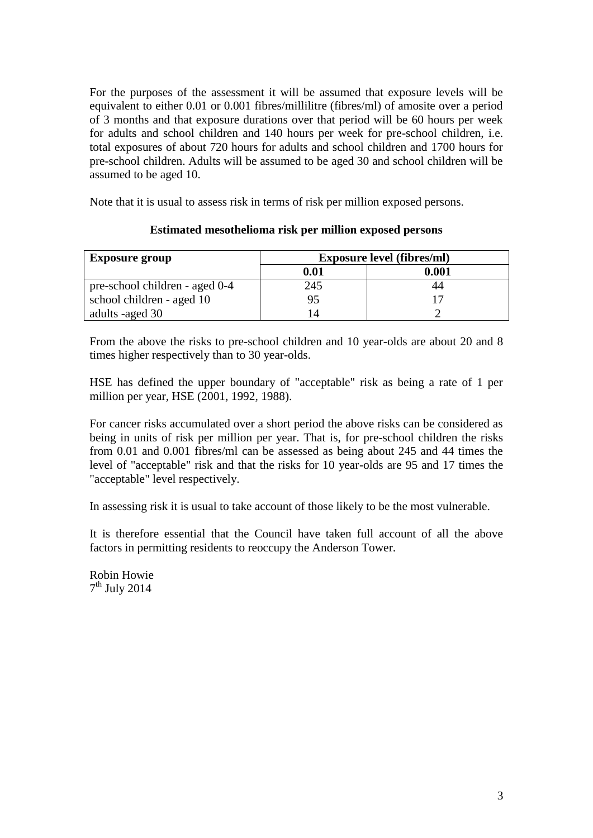For the purposes of the assessment it will be assumed that exposure levels will be equivalent to either 0.01 or 0.001 fibres/millilitre (fibres/ml) of amosite over a period of 3 months and that exposure durations over that period will be 60 hours per week for adults and school children and 140 hours per week for pre-school children, i.e. total exposures of about 720 hours for adults and school children and 1700 hours for pre-school children. Adults will be assumed to be aged 30 and school children will be assumed to be aged 10.

Note that it is usual to assess risk in terms of risk per million exposed persons.

# **Exposure group Exposure level (fibres/ml) 0.01 0.001** pre-school children - aged 0-4 245 44 school children - aged 10 17 adults -aged 30 14 2

## **Estimated mesothelioma risk per million exposed persons**

From the above the risks to pre-school children and 10 year-olds are about 20 and 8 times higher respectively than to 30 year-olds.

HSE has defined the upper boundary of "acceptable" risk as being a rate of 1 per million per year, HSE (2001, 1992, 1988).

For cancer risks accumulated over a short period the above risks can be considered as being in units of risk per million per year. That is, for pre-school children the risks from 0.01 and 0.001 fibres/ml can be assessed as being about 245 and 44 times the level of "acceptable" risk and that the risks for 10 year-olds are 95 and 17 times the "acceptable" level respectively.

In assessing risk it is usual to take account of those likely to be the most vulnerable.

It is therefore essential that the Council have taken full account of all the above factors in permitting residents to reoccupy the Anderson Tower.

Robin Howie  $7<sup>th</sup>$  July 2014